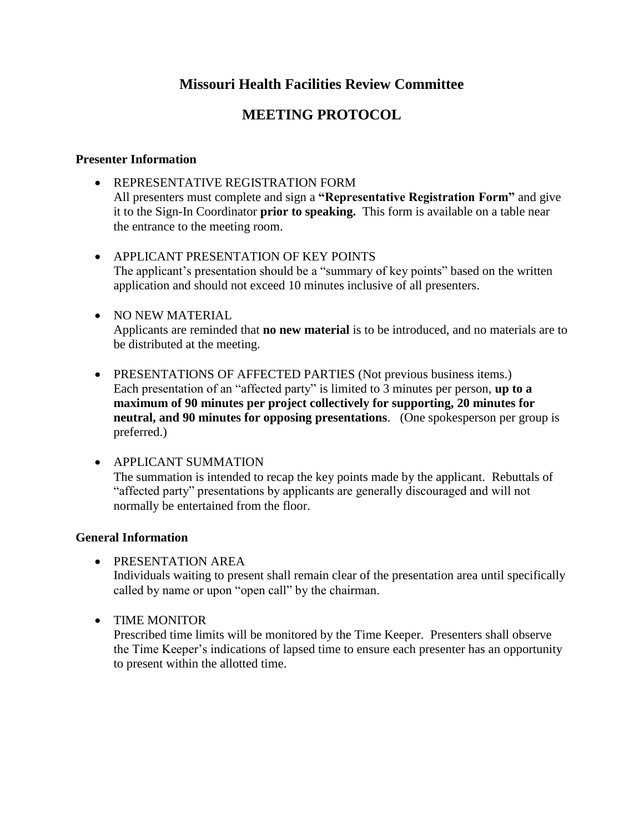### **Missouri Health Facilities Review Committee**

## **MEETING PROTOCOL**

#### **Presenter Information**

- REPRESENTATIVE REGISTRATION FORM All presenters must complete and sign a **"Representative Registration Form"** and give it to the Sign-In Coordinator **prior to speaking.** This form is available on a table near the entrance to the meeting room.
- APPLICANT PRESENTATION OF KEY POINTS The applicant's presentation should be a "summary of key points" based on the written application and should not exceed 10 minutes inclusive of all presenters.
- NO NEW MATERIAL Applicants are reminded that **no new material** is to be introduced, and no materials are to be distributed at the meeting.
- PRESENTATIONS OF AFFECTED PARTIES (Not previous business items.) Each presentation of an "affected party" is limited to 3 minutes per person, **up to a maximum of 90 minutes per project collectively for supporting, 20 minutes for neutral, and 90 minutes for opposing presentations**. (One spokesperson per group is preferred.)

APPLICANT SUMMATION

The summation is intended to recap the key points made by the applicant. Rebuttals of "affected party" presentations by applicants are generally discouraged and will not normally be entertained from the floor.

#### **General Information**

- **PRESENTATION AREA** Individuals waiting to present shall remain clear of the presentation area until specifically called by name or upon "open call" by the chairman.
- TIME MONITOR

Prescribed time limits will be monitored by the Time Keeper. Presenters shall observe the Time Keeper's indications of lapsed time to ensure each presenter has an opportunity to present within the allotted time.